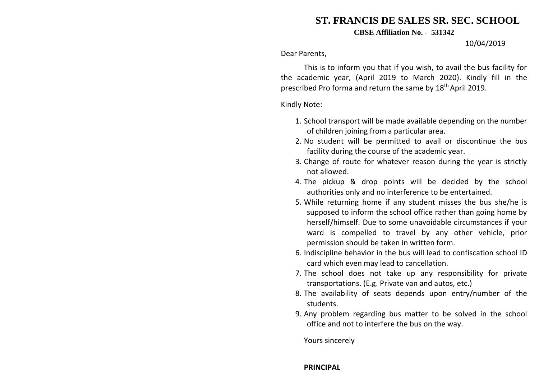## **ST. FRANCIS DE SALES SR. SEC. SCHOOL**

**CBSE Affiliation No. - 531342**

## 10/04/2019

Dear Parents,

This is to inform you that if you wish, to avail the bus facility for the academic year, (April 2019 to March 2020). Kindly fill in the prescribed Pro forma and return the same by 18<sup>th</sup> April 2019.

Kindly Note:

- 1. School transport will be made available depending on the number of children joining from a particular area.
- 2. No student will be permitted to avail or discontinue the bus facility during the course of the academic year.
- 3. Change of route for whatever reason during the year is strictly not allowed.
- 4. The pickup & drop points will be decided by the school authorities only and no interference to be entertained.
- 5. While returning home if any student misses the bus she/he is supposed to inform the school office rather than going home by herself/himself. Due to some unavoidable circumstances if your ward is compelled to travel by any other vehicle, prior permission should be taken in written form.
- 6. Indiscipline behavior in the bus will lead to confiscation school ID card which even may lead to cancellation.
- 7. The school does not take up any responsibility for private transportations. (E.g. Private van and autos, etc.)
- 8. The availability of seats depends upon entry/number of the students.
- 9. Any problem regarding bus matter to be solved in the school office and not to interfere the bus on the way.

Yours sincerely

## **PRINCIPAL**